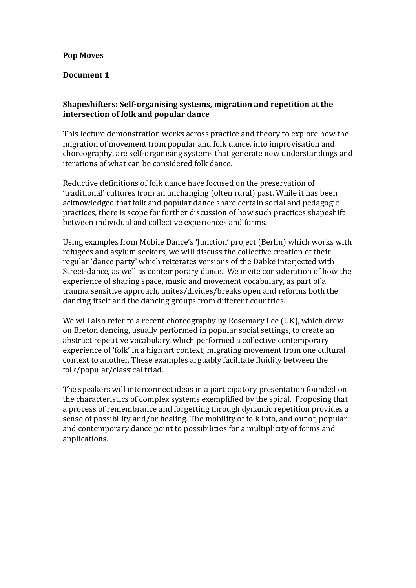## **Pop Moves**

## Document 1

## **Shapeshifters: Self-organising systems, migration and repetition at the intersection of folk and popular dance**

This lecture demonstration works across practice and theory to explore how the migration of movement from popular and folk dance, into improvisation and choreography, are self-organising systems that generate new understandings and iterations of what can be considered folk dance.

Reductive definitions of folk dance have focused on the preservation of 'traditional' cultures from an unchanging (often rural) past. While it has been acknowledged that folk and popular dance share certain social and pedagogic practices, there is scope for further discussion of how such practices shapeshift between individual and collective experiences and forms.

Using examples from Mobile Dance's 'Junction' project (Berlin) which works with refugees and asylum seekers, we will discuss the collective creation of their regular 'dance party' which reiterates versions of the Dabke interjected with Street-dance, as well as contemporary dance. We invite consideration of how the experience of sharing space, music and movement vocabulary, as part of a trauma sensitive approach, unites/divides/breaks open and reforms both the dancing itself and the dancing groups from different countries.

We will also refer to a recent choreography by Rosemary Lee (UK), which drew on Breton dancing, usually performed in popular social settings, to create an abstract repetitive vocabulary, which performed a collective contemporary experience of 'folk' in a high art context; migrating movement from one cultural context to another. These examples arguably facilitate fluidity between the folk/popular/classical triad.

The speakers will interconnect ideas in a participatory presentation founded on the characteristics of complex systems exemplified by the spiral. Proposing that a process of remembrance and forgetting through dynamic repetition provides a sense of possibility and/or healing. The mobility of folk into, and out of, popular and contemporary dance point to possibilities for a multiplicity of forms and applications.